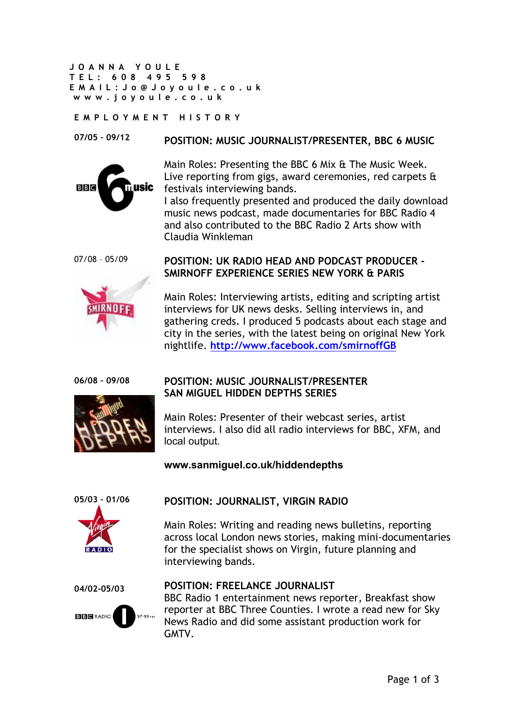**JOANNA YOULE TEL: 608 495 598 EMAIL: Jo@J oyoule.co.uk www. joyoule.co.uk**

#### **EMPLOYMENT HISTORY**

#### **07/05 – 09/12 POSITION: MUSIC JOURNALIST/PRESENTER, BBC 6 MUSIC**



Main Roles: Presenting the BBC 6 Mix & The Music Week. Live reporting from gigs, award ceremonies, red carpets & festivals interviewing bands.

I also frequently presented and produced the daily download music news podcast, made documentaries for BBC Radio 4 and also contributed to the BBC Radio 2 Arts show with Claudia Winkleman

07/08 – 05/09



# **POSITION: UK RADIO HEAD AND PODCAST PRODUCER - SMIRNOFF EXPERIENCE SERIES NEW YORK & PARIS**

Main Roles: Interviewing artists, editing and scripting artist interviews for UK news desks. Selling interviews in, and gathering creds. I produced 5 podcasts about each stage and city in the series, with the latest being on original New York nightlife. **http://www.facebook.com/smirnoffGB**

```
06/08 – 09/08
```


### **POSITION: MUSIC JOURNALIST/PRESENTER SAN MIGUEL HIDDEN DEPTHS SERIES**

Main Roles: Presenter of their webcast series, artist interviews. I also did all radio interviews for BBC, XFM, and local output.

# **www.sanmiguel.co.uk/hiddendepths**



# **POSITION: JOURNALIST, VIRGIN RADIO**

Main Roles: Writing and reading news bulletins, reporting across local London news stories, making mini-documentaries for the specialist shows on Virgin, future planning and interviewing bands.

**04/02-05/03**



## **POSITION: FREELANCE JOURNALIST**

BBC Radio 1 entertainment news reporter, Breakfast show reporter at BBC Three Counties. I wrote a read new for Sky News Radio and did some assistant production work for **GMTV**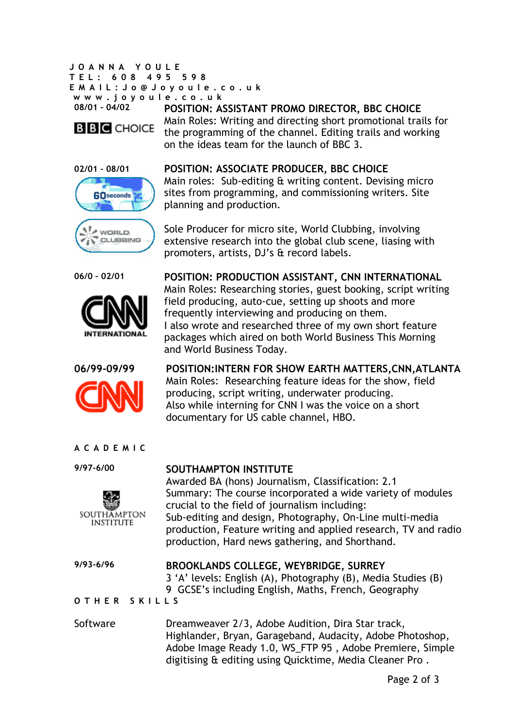**JOANNA YOULE TEL: 608 495 598 EMAIL: Jo@J oyoule.co.uk www. joyoule.co.uk 08/01 – 04/02**



**POSITION: ASSISTANT PROMO DIRECTOR, BBC CHOICE** Main Roles: Writing and directing short promotional trails for the programming of the channel. Editing trails and working on the ideas team for the launch of BBC 3.









# **POSITION: ASSOCIATE PRODUCER, BBC CHOICE**

Main roles: Sub-editing & writing content. Devising micro sites from programming, and commissioning writers. Site planning and production.

Sole Producer for micro site, World Clubbing, involving extensive research into the global club scene, liasing with promoters, artists, DJ's & record labels.

**06/0 – 02/01 POSITION: PRODUCTION ASSISTANT, CNN INTERNATIONAL** Main Roles: Researching stories, guest booking, script writing field producing, auto-cue, setting up shoots and more frequently interviewing and producing on them. I also wrote and researched three of my own short feature packages which aired on both World Business This Morning and World Business Today.

**06/99-09/99 POSITION:INTERN FOR SHOW EARTH MATTERS,CNN,ATLANTA** Main Roles: Researching feature ideas for the show, field producing, script writing, underwater producing. Also while interning for CNN I was the voice on a short documentary for US cable channel, HBO.

#### **ACADEMIC**

**9/97-6/00**



## **SOUTHAMPTON INSTITUTE**

Awarded BA (hons) Journalism, Classification: 2.1 Summary: The course incorporated a wide variety of modules crucial to the field of journalism including: Sub-editing and design, Photography, On-Line multi-media production, Feature writing and applied research, TV and radio production, Hard news gathering, and Shorthand.

#### **9/93-6/96 BROOKLANDS COLLEGE, WEYBRIDGE, SURREY** 3 'A' levels: English (A), Photography (B), Media Studies (B) 9 GCSE's including English, Maths, French, Geography

**OTHER SKILLS**

Software **Dreamweaver 2/3, Adobe Audition, Dira Star track,** Highlander, Bryan, Garageband, Audacity, Adobe Photoshop, Adobe Image Ready 1.0, WS\_FTP 95 , Adobe Premiere, Simple digitising & editing using Quicktime, Media Cleaner Pro .